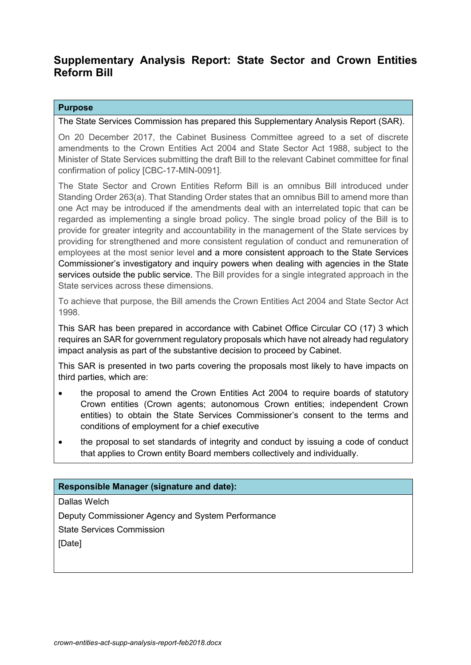# **Supplementary Analysis Report: State Sector and Crown Entities Reform Bill**

## **Purpose**

#### The State Services Commission has prepared this Supplementary Analysis Report (SAR).

On 20 December 2017, the Cabinet Business Committee agreed to a set of discrete amendments to the Crown Entities Act 2004 and State Sector Act 1988, subject to the Minister of State Services submitting the draft Bill to the relevant Cabinet committee for final confirmation of policy [CBC-17-MIN-0091].

The State Sector and Crown Entities Reform Bill is an omnibus Bill introduced under Standing Order 263(a). That Standing Order states that an omnibus Bill to amend more than one Act may be introduced if the amendments deal with an interrelated topic that can be regarded as implementing a single broad policy. The single broad policy of the Bill is to provide for greater integrity and accountability in the management of the State services by providing for strengthened and more consistent regulation of conduct and remuneration of employees at the most senior level and a more consistent approach to the State Services Commissioner's investigatory and inquiry powers when dealing with agencies in the State services outside the public service. The Bill provides for a single integrated approach in the State services across these dimensions.

To achieve that purpose, the Bill amends the Crown Entities Act 2004 and State Sector Act 1998.

This SAR has been prepared in accordance with Cabinet Office Circular CO (17) 3 which requires an SAR for government regulatory proposals which have not already had regulatory impact analysis as part of the substantive decision to proceed by Cabinet.

This SAR is presented in two parts covering the proposals most likely to have impacts on third parties, which are:

- the proposal to amend the Crown Entities Act 2004 to require boards of statutory Crown entities (Crown agents; autonomous Crown entities; independent Crown entities) to obtain the State Services Commissioner's consent to the terms and conditions of employment for a chief executive
- the proposal to set standards of integrity and conduct by issuing a code of conduct that applies to Crown entity Board members collectively and individually.

## **Responsible Manager (signature and date):**

Dallas Welch

Deputy Commissioner Agency and System Performance

State Services Commission

[Date]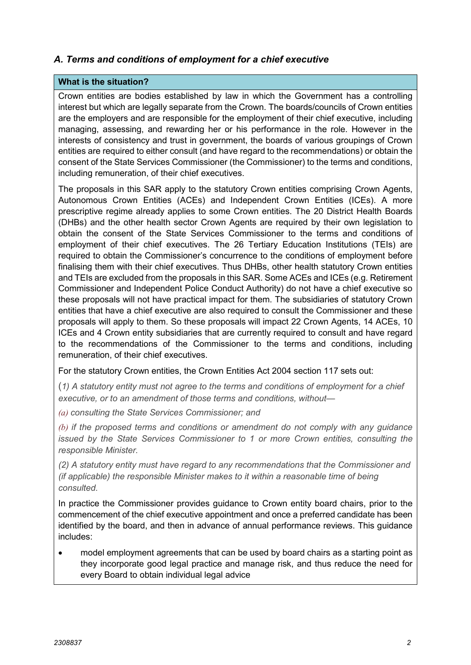# *A. Terms and conditions of employment for a chief executive*

## **What is the situation?**

Crown entities are bodies established by law in which the Government has a controlling interest but which are legally separate from the Crown. The boards/councils of Crown entities are the employers and are responsible for the employment of their chief executive, including managing, assessing, and rewarding her or his performance in the role. However in the interests of consistency and trust in government, the boards of various groupings of Crown entities are required to either consult (and have regard to the recommendations) or obtain the consent of the State Services Commissioner (the Commissioner) to the terms and conditions, including remuneration, of their chief executives.

The proposals in this SAR apply to the statutory Crown entities comprising Crown Agents, Autonomous Crown Entities (ACEs) and Independent Crown Entities (ICEs). A more prescriptive regime already applies to some Crown entities. The 20 District Health Boards (DHBs) and the other health sector Crown Agents are required by their own legislation to obtain the consent of the State Services Commissioner to the terms and conditions of employment of their chief executives. The 26 Tertiary Education Institutions (TEIs) are required to obtain the Commissioner's concurrence to the conditions of employment before finalising them with their chief executives. Thus DHBs, other health statutory Crown entities and TEIs are excluded from the proposals in this SAR. Some ACEs and ICEs (e.g. Retirement Commissioner and Independent Police Conduct Authority) do not have a chief executive so these proposals will not have practical impact for them. The subsidiaries of statutory Crown entities that have a chief executive are also required to consult the Commissioner and these proposals will apply to them. So these proposals will impact 22 Crown Agents, 14 ACEs, 10 ICEs and 4 Crown entity subsidiaries that are currently required to consult and have regard to the recommendations of the Commissioner to the terms and conditions, including remuneration, of their chief executives.

For the statutory Crown entities, the Crown Entities Act 2004 section 117 sets out:

(*1) A statutory entity must not agree to the terms and conditions of employment for a chief executive, or to an amendment of those terms and conditions, without—*

*(a) consulting the State Services Commissioner; and*

*(b) if the proposed terms and conditions or amendment do not comply with any guidance issued by the State Services Commissioner to 1 or more Crown entities, consulting the responsible Minister.*

*(2) A statutory entity must have regard to any recommendations that the Commissioner and (if applicable) the responsible Minister makes to it within a reasonable time of being consulted.*

In practice the Commissioner provides guidance to Crown entity board chairs, prior to the commencement of the chief executive appointment and once a preferred candidate has been identified by the board, and then in advance of annual performance reviews. This guidance includes:

• model employment agreements that can be used by board chairs as a starting point as they incorporate good legal practice and manage risk, and thus reduce the need for every Board to obtain individual legal advice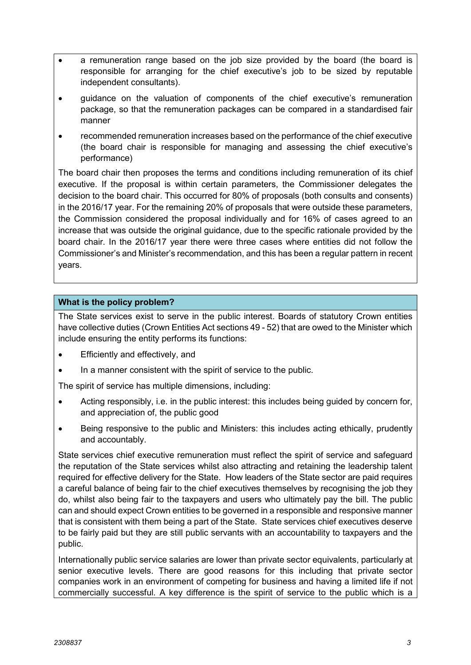- a remuneration range based on the job size provided by the board (the board is responsible for arranging for the chief executive's job to be sized by reputable independent consultants).
- guidance on the valuation of components of the chief executive's remuneration package, so that the remuneration packages can be compared in a standardised fair manner
- recommended remuneration increases based on the performance of the chief executive (the board chair is responsible for managing and assessing the chief executive's performance)

The board chair then proposes the terms and conditions including remuneration of its chief executive. If the proposal is within certain parameters, the Commissioner delegates the decision to the board chair. This occurred for 80% of proposals (both consults and consents) in the 2016/17 year. For the remaining 20% of proposals that were outside these parameters, the Commission considered the proposal individually and for 16% of cases agreed to an increase that was outside the original guidance, due to the specific rationale provided by the board chair. In the 2016/17 year there were three cases where entities did not follow the Commissioner's and Minister's recommendation, and this has been a regular pattern in recent years.

## **What is the policy problem?**

The State services exist to serve in the public interest. Boards of statutory Crown entities have collective duties (Crown Entities Act sections 49 - 52) that are owed to the Minister which include ensuring the entity performs its functions:

- Efficiently and effectively, and
- In a manner consistent with the spirit of service to the public.

The spirit of service has multiple dimensions, including:

- Acting responsibly, i.e. in the public interest: this includes being guided by concern for, and appreciation of, the public good
- Being responsive to the public and Ministers: this includes acting ethically, prudently and accountably.

State services chief executive remuneration must reflect the spirit of service and safeguard the reputation of the State services whilst also attracting and retaining the leadership talent required for effective delivery for the State. How leaders of the State sector are paid requires a careful balance of being fair to the chief executives themselves by recognising the job they do, whilst also being fair to the taxpayers and users who ultimately pay the bill. The public can and should expect Crown entities to be governed in a responsible and responsive manner that is consistent with them being a part of the State. State services chief executives deserve to be fairly paid but they are still public servants with an accountability to taxpayers and the public.

Internationally public service salaries are lower than private sector equivalents, particularly at senior executive levels. There are good reasons for this including that private sector companies work in an environment of competing for business and having a limited life if not commercially successful. A key difference is the spirit of service to the public which is a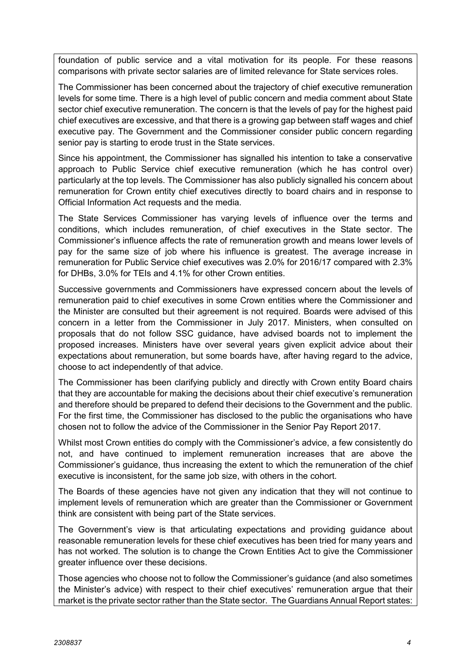foundation of public service and a vital motivation for its people. For these reasons comparisons with private sector salaries are of limited relevance for State services roles.

The Commissioner has been concerned about the trajectory of chief executive remuneration levels for some time. There is a high level of public concern and media comment about State sector chief executive remuneration. The concern is that the levels of pay for the highest paid chief executives are excessive, and that there is a growing gap between staff wages and chief executive pay. The Government and the Commissioner consider public concern regarding senior pay is starting to erode trust in the State services.

Since his appointment, the Commissioner has signalled his intention to take a conservative approach to Public Service chief executive remuneration (which he has control over) particularly at the top levels. The Commissioner has also publicly signalled his concern about remuneration for Crown entity chief executives directly to board chairs and in response to Official Information Act requests and the media.

The State Services Commissioner has varying levels of influence over the terms and conditions, which includes remuneration, of chief executives in the State sector. The Commissioner's influence affects the rate of remuneration growth and means lower levels of pay for the same size of job where his influence is greatest. The average increase in remuneration for Public Service chief executives was 2.0% for 2016/17 compared with 2.3% for DHBs, 3.0% for TEIs and 4.1% for other Crown entities.

Successive governments and Commissioners have expressed concern about the levels of remuneration paid to chief executives in some Crown entities where the Commissioner and the Minister are consulted but their agreement is not required. Boards were advised of this concern in a letter from the Commissioner in July 2017. Ministers, when consulted on proposals that do not follow SSC guidance, have advised boards not to implement the proposed increases. Ministers have over several years given explicit advice about their expectations about remuneration, but some boards have, after having regard to the advice, choose to act independently of that advice.

The Commissioner has been clarifying publicly and directly with Crown entity Board chairs that they are accountable for making the decisions about their chief executive's remuneration and therefore should be prepared to defend their decisions to the Government and the public. For the first time, the Commissioner has disclosed to the public the organisations who have chosen not to follow the advice of the Commissioner in the Senior Pay Report 2017.

Whilst most Crown entities do comply with the Commissioner's advice, a few consistently do not, and have continued to implement remuneration increases that are above the Commissioner's guidance, thus increasing the extent to which the remuneration of the chief executive is inconsistent, for the same job size, with others in the cohort.

The Boards of these agencies have not given any indication that they will not continue to implement levels of remuneration which are greater than the Commissioner or Government think are consistent with being part of the State services.

The Government's view is that articulating expectations and providing guidance about reasonable remuneration levels for these chief executives has been tried for many years and has not worked. The solution is to change the Crown Entities Act to give the Commissioner greater influence over these decisions.

Those agencies who choose not to follow the Commissioner's guidance (and also sometimes the Minister's advice) with respect to their chief executives' remuneration argue that their market is the private sector rather than the State sector. The Guardians Annual Report states: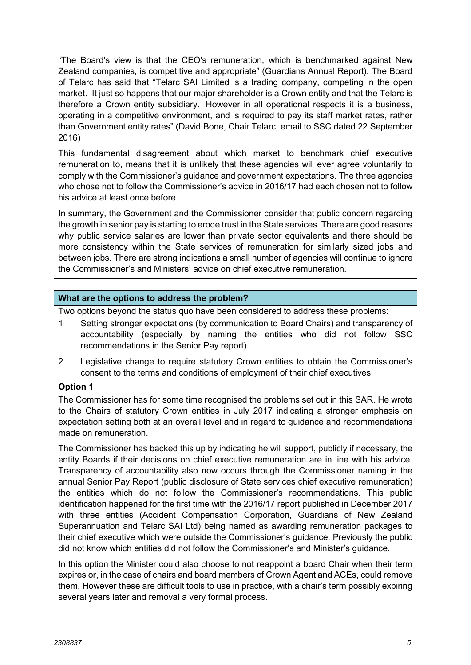"The Board's view is that the CEO's remuneration, which is benchmarked against New Zealand companies, is competitive and appropriate" (Guardians Annual Report). The Board of Telarc has said that "Telarc SAI Limited is a trading company, competing in the open market. It just so happens that our major shareholder is a Crown entity and that the Telarc is therefore a Crown entity subsidiary. However in all operational respects it is a business, operating in a competitive environment, and is required to pay its staff market rates, rather than Government entity rates" (David Bone, Chair Telarc, email to SSC dated 22 September 2016)

This fundamental disagreement about which market to benchmark chief executive remuneration to, means that it is unlikely that these agencies will ever agree voluntarily to comply with the Commissioner's guidance and government expectations. The three agencies who chose not to follow the Commissioner's advice in 2016/17 had each chosen not to follow his advice at least once before.

In summary, the Government and the Commissioner consider that public concern regarding the growth in senior pay is starting to erode trust in the State services. There are good reasons why public service salaries are lower than private sector equivalents and there should be more consistency within the State services of remuneration for similarly sized jobs and between jobs. There are strong indications a small number of agencies will continue to ignore the Commissioner's and Ministers' advice on chief executive remuneration.

## **What are the options to address the problem?**

Two options beyond the status quo have been considered to address these problems:

- 1 Setting stronger expectations (by communication to Board Chairs) and transparency of accountability (especially by naming the entities who did not follow SSC recommendations in the Senior Pay report)
- 2 Legislative change to require statutory Crown entities to obtain the Commissioner's consent to the terms and conditions of employment of their chief executives.

# **Option 1**

The Commissioner has for some time recognised the problems set out in this SAR. He wrote to the Chairs of statutory Crown entities in July 2017 indicating a stronger emphasis on expectation setting both at an overall level and in regard to guidance and recommendations made on remuneration.

The Commissioner has backed this up by indicating he will support, publicly if necessary, the entity Boards if their decisions on chief executive remuneration are in line with his advice. Transparency of accountability also now occurs through the Commissioner naming in the annual Senior Pay Report (public disclosure of State services chief executive remuneration) the entities which do not follow the Commissioner's recommendations. This public identification happened for the first time with the 2016/17 report published in December 2017 with three entities (Accident Compensation Corporation, Guardians of New Zealand Superannuation and Telarc SAI Ltd) being named as awarding remuneration packages to their chief executive which were outside the Commissioner's guidance. Previously the public did not know which entities did not follow the Commissioner's and Minister's guidance.

In this option the Minister could also choose to not reappoint a board Chair when their term expires or, in the case of chairs and board members of Crown Agent and ACEs, could remove them. However these are difficult tools to use in practice, with a chair's term possibly expiring several years later and removal a very formal process.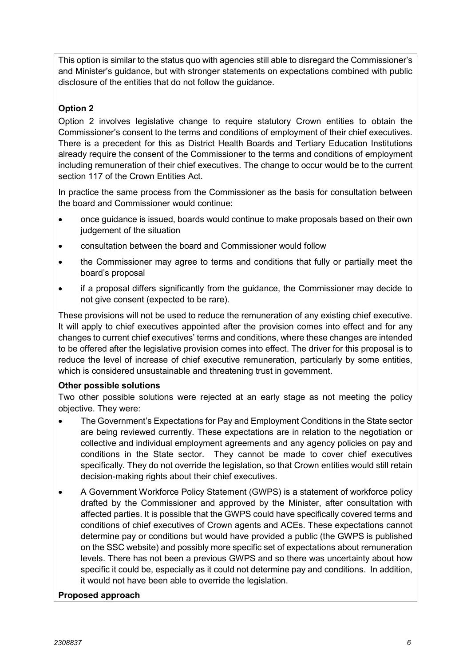This option is similar to the status quo with agencies still able to disregard the Commissioner's and Minister's guidance, but with stronger statements on expectations combined with public disclosure of the entities that do not follow the guidance.

# **Option 2**

Option 2 involves legislative change to require statutory Crown entities to obtain the Commissioner's consent to the terms and conditions of employment of their chief executives. There is a precedent for this as District Health Boards and Tertiary Education Institutions already require the consent of the Commissioner to the terms and conditions of employment including remuneration of their chief executives. The change to occur would be to the current section 117 of the Crown Entities Act.

In practice the same process from the Commissioner as the basis for consultation between the board and Commissioner would continue:

- once guidance is issued, boards would continue to make proposals based on their own judgement of the situation
- consultation between the board and Commissioner would follow
- the Commissioner may agree to terms and conditions that fully or partially meet the board's proposal
- if a proposal differs significantly from the guidance, the Commissioner may decide to not give consent (expected to be rare).

These provisions will not be used to reduce the remuneration of any existing chief executive. It will apply to chief executives appointed after the provision comes into effect and for any changes to current chief executives' terms and conditions, where these changes are intended to be offered after the legislative provision comes into effect. The driver for this proposal is to reduce the level of increase of chief executive remuneration, particularly by some entities, which is considered unsustainable and threatening trust in government.

# **Other possible solutions**

Two other possible solutions were rejected at an early stage as not meeting the policy objective. They were:

- The Government's Expectations for Pay and Employment Conditions in the State sector are being reviewed currently. These expectations are in relation to the negotiation or collective and individual employment agreements and any agency policies on pay and conditions in the State sector. They cannot be made to cover chief executives specifically. They do not override the legislation, so that Crown entities would still retain decision-making rights about their chief executives.
- A Government Workforce Policy Statement (GWPS) is a statement of workforce policy drafted by the Commissioner and approved by the Minister, after consultation with affected parties. It is possible that the GWPS could have specifically covered terms and conditions of chief executives of Crown agents and ACEs. These expectations cannot determine pay or conditions but would have provided a public (the GWPS is published on the SSC website) and possibly more specific set of expectations about remuneration levels. There has not been a previous GWPS and so there was uncertainty about how specific it could be, especially as it could not determine pay and conditions. In addition, it would not have been able to override the legislation.

# **Proposed approach**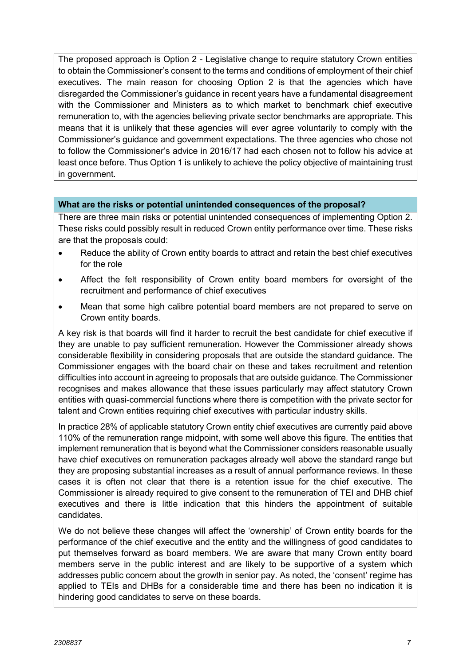The proposed approach is Option 2 - Legislative change to require statutory Crown entities to obtain the Commissioner's consent to the terms and conditions of employment of their chief executives. The main reason for choosing Option 2 is that the agencies which have disregarded the Commissioner's guidance in recent years have a fundamental disagreement with the Commissioner and Ministers as to which market to benchmark chief executive remuneration to, with the agencies believing private sector benchmarks are appropriate. This means that it is unlikely that these agencies will ever agree voluntarily to comply with the Commissioner's guidance and government expectations. The three agencies who chose not to follow the Commissioner's advice in 2016/17 had each chosen not to follow his advice at least once before. Thus Option 1 is unlikely to achieve the policy objective of maintaining trust in government.

## **What are the risks or potential unintended consequences of the proposal?**

There are three main risks or potential unintended consequences of implementing Option 2. These risks could possibly result in reduced Crown entity performance over time. These risks are that the proposals could:

- Reduce the ability of Crown entity boards to attract and retain the best chief executives for the role
- Affect the felt responsibility of Crown entity board members for oversight of the recruitment and performance of chief executives
- Mean that some high calibre potential board members are not prepared to serve on Crown entity boards.

A key risk is that boards will find it harder to recruit the best candidate for chief executive if they are unable to pay sufficient remuneration. However the Commissioner already shows considerable flexibility in considering proposals that are outside the standard guidance. The Commissioner engages with the board chair on these and takes recruitment and retention difficulties into account in agreeing to proposals that are outside guidance. The Commissioner recognises and makes allowance that these issues particularly may affect statutory Crown entities with quasi-commercial functions where there is competition with the private sector for talent and Crown entities requiring chief executives with particular industry skills.

In practice 28% of applicable statutory Crown entity chief executives are currently paid above 110% of the remuneration range midpoint, with some well above this figure. The entities that implement remuneration that is beyond what the Commissioner considers reasonable usually have chief executives on remuneration packages already well above the standard range but they are proposing substantial increases as a result of annual performance reviews. In these cases it is often not clear that there is a retention issue for the chief executive. The Commissioner is already required to give consent to the remuneration of TEI and DHB chief executives and there is little indication that this hinders the appointment of suitable candidates.

We do not believe these changes will affect the 'ownership' of Crown entity boards for the performance of the chief executive and the entity and the willingness of good candidates to put themselves forward as board members. We are aware that many Crown entity board members serve in the public interest and are likely to be supportive of a system which addresses public concern about the growth in senior pay. As noted, the 'consent' regime has applied to TEIs and DHBs for a considerable time and there has been no indication it is hindering good candidates to serve on these boards.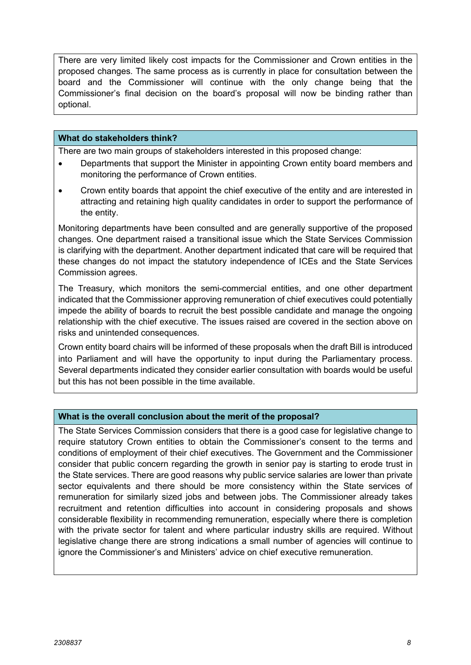There are very limited likely cost impacts for the Commissioner and Crown entities in the proposed changes. The same process as is currently in place for consultation between the board and the Commissioner will continue with the only change being that the Commissioner's final decision on the board's proposal will now be binding rather than optional.

#### **What do stakeholders think?**

There are two main groups of stakeholders interested in this proposed change:

- Departments that support the Minister in appointing Crown entity board members and monitoring the performance of Crown entities.
- Crown entity boards that appoint the chief executive of the entity and are interested in attracting and retaining high quality candidates in order to support the performance of the entity.

Monitoring departments have been consulted and are generally supportive of the proposed changes. One department raised a transitional issue which the State Services Commission is clarifying with the department. Another department indicated that care will be required that these changes do not impact the statutory independence of ICEs and the State Services Commission agrees.

The Treasury, which monitors the semi-commercial entities, and one other department indicated that the Commissioner approving remuneration of chief executives could potentially impede the ability of boards to recruit the best possible candidate and manage the ongoing relationship with the chief executive. The issues raised are covered in the section above on risks and unintended consequences.

Crown entity board chairs will be informed of these proposals when the draft Bill is introduced into Parliament and will have the opportunity to input during the Parliamentary process. Several departments indicated they consider earlier consultation with boards would be useful but this has not been possible in the time available.

## **What is the overall conclusion about the merit of the proposal?**

The State Services Commission considers that there is a good case for legislative change to require statutory Crown entities to obtain the Commissioner's consent to the terms and conditions of employment of their chief executives. The Government and the Commissioner consider that public concern regarding the growth in senior pay is starting to erode trust in the State services. There are good reasons why public service salaries are lower than private sector equivalents and there should be more consistency within the State services of remuneration for similarly sized jobs and between jobs. The Commissioner already takes recruitment and retention difficulties into account in considering proposals and shows considerable flexibility in recommending remuneration, especially where there is completion with the private sector for talent and where particular industry skills are required. Without legislative change there are strong indications a small number of agencies will continue to ignore the Commissioner's and Ministers' advice on chief executive remuneration.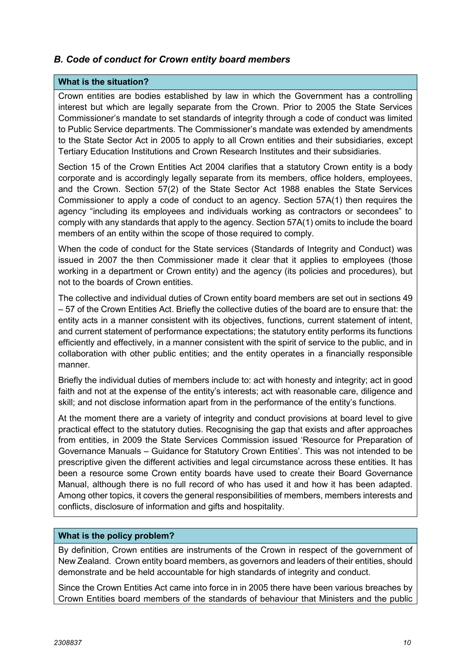# *B. Code of conduct for Crown entity board members*

## **What is the situation?**

Crown entities are bodies established by law in which the Government has a controlling interest but which are legally separate from the Crown. Prior to 2005 the State Services Commissioner's mandate to set standards of integrity through a code of conduct was limited to Public Service departments. The Commissioner's mandate was extended by amendments to the State Sector Act in 2005 to apply to all Crown entities and their subsidiaries, except Tertiary Education Institutions and Crown Research Institutes and their subsidiaries.

Section 15 of the Crown Entities Act 2004 clarifies that a statutory Crown entity is a body corporate and is accordingly legally separate from its members, office holders, employees, and the Crown. Section 57(2) of the State Sector Act 1988 enables the State Services Commissioner to apply a code of conduct to an agency. Section 57A(1) then requires the agency "including its employees and individuals working as contractors or secondees" to comply with any standards that apply to the agency. Section 57A(1) omits to include the board members of an entity within the scope of those required to comply.

When the code of conduct for the State services (Standards of Integrity and Conduct) was issued in 2007 the then Commissioner made it clear that it applies to employees (those working in a department or Crown entity) and the agency (its policies and procedures), but not to the boards of Crown entities.

The collective and individual duties of Crown entity board members are set out in sections 49 – 57 of the Crown Entities Act. Briefly the collective duties of the board are to ensure that: the entity acts in a manner consistent with its objectives, functions, current statement of intent, and current statement of performance expectations; the statutory entity performs its functions efficiently and effectively, in a manner consistent with the spirit of service to the public, and in collaboration with other public entities; and the entity operates in a financially responsible manner.

Briefly the individual duties of members include to: act with honesty and integrity; act in good faith and not at the expense of the entity's interests; act with reasonable care, diligence and skill; and not disclose information apart from in the performance of the entity's functions.

At the moment there are a variety of integrity and conduct provisions at board level to give practical effect to the statutory duties. Recognising the gap that exists and after approaches from entities, in 2009 the State Services Commission issued 'Resource for Preparation of Governance Manuals – Guidance for Statutory Crown Entities'. This was not intended to be prescriptive given the different activities and legal circumstance across these entities. It has been a resource some Crown entity boards have used to create their Board Governance Manual, although there is no full record of who has used it and how it has been adapted. Among other topics, it covers the general responsibilities of members, members interests and conflicts, disclosure of information and gifts and hospitality.

## **What is the policy problem?**

By definition, Crown entities are instruments of the Crown in respect of the government of New Zealand. Crown entity board members, as governors and leaders of their entities, should demonstrate and be held accountable for high standards of integrity and conduct.

Since the Crown Entities Act came into force in in 2005 there have been various breaches by Crown Entities board members of the standards of behaviour that Ministers and the public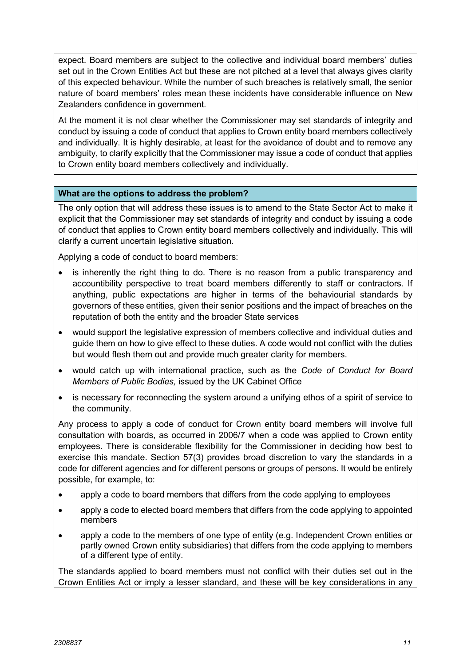expect. Board members are subject to the collective and individual board members' duties set out in the Crown Entities Act but these are not pitched at a level that always gives clarity of this expected behaviour. While the number of such breaches is relatively small, the senior nature of board members' roles mean these incidents have considerable influence on New Zealanders confidence in government.

At the moment it is not clear whether the Commissioner may set standards of integrity and conduct by issuing a code of conduct that applies to Crown entity board members collectively and individually. It is highly desirable, at least for the avoidance of doubt and to remove any ambiguity, to clarify explicitly that the Commissioner may issue a code of conduct that applies to Crown entity board members collectively and individually.

## **What are the options to address the problem?**

The only option that will address these issues is to amend to the State Sector Act to make it explicit that the Commissioner may set standards of integrity and conduct by issuing a code of conduct that applies to Crown entity board members collectively and individually. This will clarify a current uncertain legislative situation.

Applying a code of conduct to board members:

- is inherently the right thing to do. There is no reason from a public transparency and accountibility perspective to treat board members differently to staff or contractors. If anything, public expectations are higher in terms of the behaviourial standards by governors of these entities, given their senior positions and the impact of breaches on the reputation of both the entity and the broader State services
- would support the legislative expression of members collective and individual duties and guide them on how to give effect to these duties. A code would not conflict with the duties but would flesh them out and provide much greater clarity for members.
- would catch up with international practice, such as the *Code of Conduct for Board Members of Public Bodies,* issued by the UK Cabinet Office
- is necessary for reconnecting the system around a unifying ethos of a spirit of service to the community.

Any process to apply a code of conduct for Crown entity board members will involve full consultation with boards, as occurred in 2006/7 when a code was applied to Crown entity employees. There is considerable flexibility for the Commissioner in deciding how best to exercise this mandate. Section 57(3) provides broad discretion to vary the standards in a code for different agencies and for different persons or groups of persons. It would be entirely possible, for example, to:

- apply a code to board members that differs from the code applying to employees
- apply a code to elected board members that differs from the code applying to appointed members
- apply a code to the members of one type of entity (e.g. Independent Crown entities or partly owned Crown entity subsidiaries) that differs from the code applying to members of a different type of entity.

The standards applied to board members must not conflict with their duties set out in the Crown Entities Act or imply a lesser standard, and these will be key considerations in any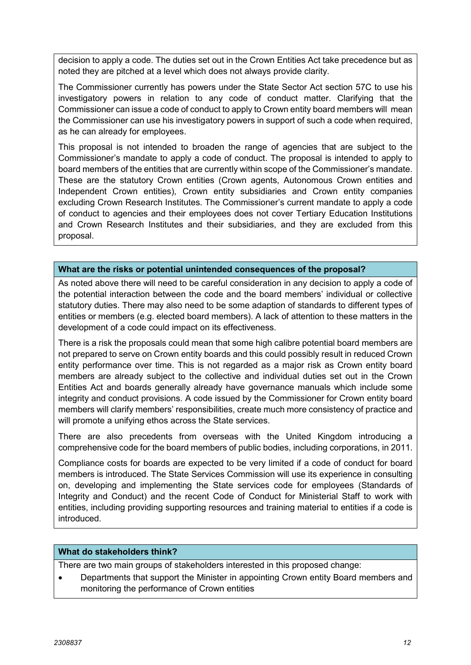decision to apply a code. The duties set out in the Crown Entities Act take precedence but as noted they are pitched at a level which does not always provide clarity.

The Commissioner currently has powers under the State Sector Act section 57C to use his investigatory powers in relation to any code of conduct matter. Clarifying that the Commissioner can issue a code of conduct to apply to Crown entity board members will mean the Commissioner can use his investigatory powers in support of such a code when required, as he can already for employees.

This proposal is not intended to broaden the range of agencies that are subject to the Commissioner's mandate to apply a code of conduct. The proposal is intended to apply to board members of the entities that are currently within scope of the Commissioner's mandate. These are the statutory Crown entities (Crown agents, Autonomous Crown entities and Independent Crown entities), Crown entity subsidiaries and Crown entity companies excluding Crown Research Institutes. The Commissioner's current mandate to apply a code of conduct to agencies and their employees does not cover Tertiary Education Institutions and Crown Research Institutes and their subsidiaries, and they are excluded from this proposal.

## **What are the risks or potential unintended consequences of the proposal?**

As noted above there will need to be careful consideration in any decision to apply a code of the potential interaction between the code and the board members' individual or collective statutory duties. There may also need to be some adaption of standards to different types of entities or members (e.g. elected board members). A lack of attention to these matters in the development of a code could impact on its effectiveness.

There is a risk the proposals could mean that some high calibre potential board members are not prepared to serve on Crown entity boards and this could possibly result in reduced Crown entity performance over time. This is not regarded as a major risk as Crown entity board members are already subject to the collective and individual duties set out in the Crown Entities Act and boards generally already have governance manuals which include some integrity and conduct provisions. A code issued by the Commissioner for Crown entity board members will clarify members' responsibilities, create much more consistency of practice and will promote a unifying ethos across the State services.

There are also precedents from overseas with the United Kingdom introducing a comprehensive code for the board members of public bodies, including corporations, in 2011.

Compliance costs for boards are expected to be very limited if a code of conduct for board members is introduced. The State Services Commission will use its experience in consulting on, developing and implementing the State services code for employees (Standards of Integrity and Conduct) and the recent Code of Conduct for Ministerial Staff to work with entities, including providing supporting resources and training material to entities if a code is introduced.

## **What do stakeholders think?**

There are two main groups of stakeholders interested in this proposed change:

• Departments that support the Minister in appointing Crown entity Board members and monitoring the performance of Crown entities